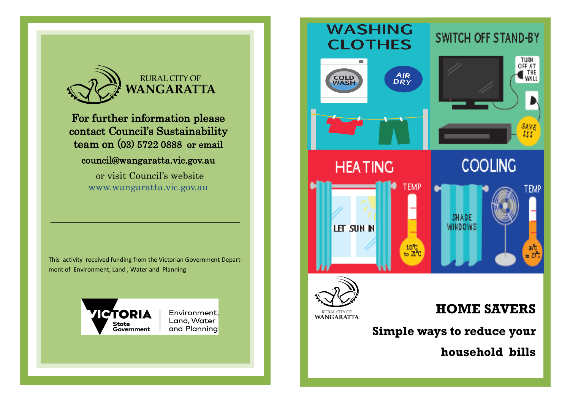

For further information please contact Council's Sustainability team on (03) 5722 0888 or email

#### council@wangaratta.vic.gov.au

 or visit Council's website www.wangaratta.vic.gov.au

This activity received funding from the Victorian Government Department of Environment, Land , Water and Planning



Page 8

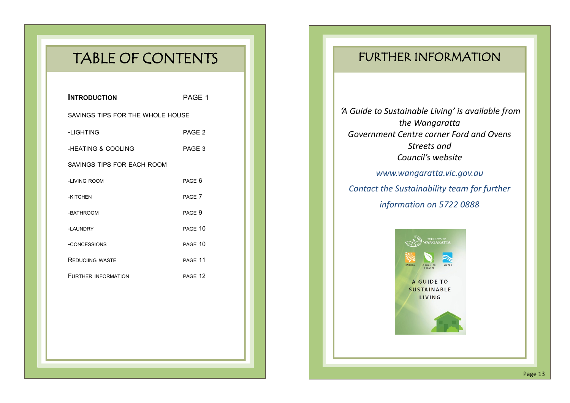# TABLE OF CONTENTS

| <b>INTRODUCTION</b>              | PAGE 1             |
|----------------------------------|--------------------|
| SAVINGS TIPS FOR THE WHOLE HOUSE |                    |
| -LIGHTING                        | PAGE <sub>2</sub>  |
| -HEATING & COOLING               | PAGE <sub>3</sub>  |
| SAVINGS TIPS FOR EACH ROOM       |                    |
| -LIVING ROOM                     | PAGF 6             |
| -KITCHEN                         | PAGF <sub>7</sub>  |
| -BATHROOM                        | PAGE 9             |
| -LAUNDRY                         | PAGE 10            |
| -CONCESSIONS                     | PAGE 10            |
| <b>REDUCIING WASTE</b>           | PAGE 11            |
| <b>FURTHER INFORMATION</b>       | PAGF <sub>12</sub> |
|                                  |                    |

## FURTHER INFORMATION

*'A Guide to Sustainable Living' is available from the Wangaratta Government Centre corner Ford and Ovens Streets and Council's website* 

*www.wangaratta.vic.gov.au Contact the Sustainability team for further information on 5722 0888*



Page 13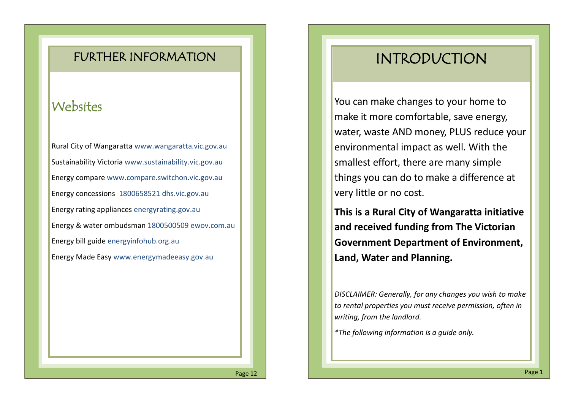### FURTHER INFORMATION

## **Websites**

Rural City of Wangaratta www.wangaratta.vic.gov.au Sustainability Victoria www.sustainability.vic.gov.au Energy compare www.compare.switchon.vic.gov.au Energy concessions 1800658521 dhs.vic.gov.au Energy rating appliances energyrating.gov.au Energy & water ombudsman 1800500509 ewov.com.au Energy bill guide energyinfohub.org.au Energy Made Easy www.energymadeeasy.gov.au

# INTRODUCTION

You can make changes to your home to make it more comfortable, save energy, water, waste AND money, PLUS reduce your environmental impact as well. With the smallest effort, there are many simple things you can do to make a difference at very little or no cost.

**This is a Rural City of Wangaratta initiative and received funding from The Victorian Government Department of Environment, Land, Water and Planning.**

*DISCLAIMER: Generally, for any changes you wish to make to rental properties you must receive permission, often in writing, from the landlord.* 

*\*The following information is a guide only.*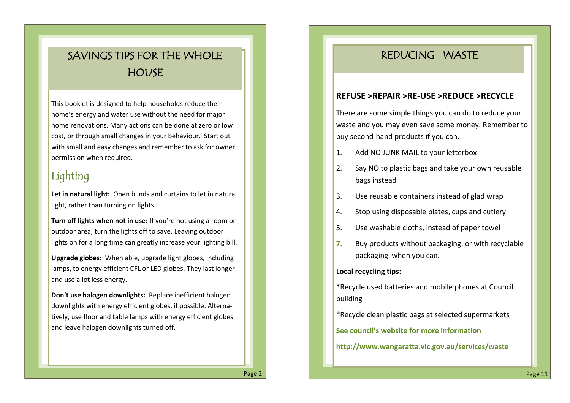## SAVINGS TIPS FOR THE WHOLE **HOUSE**

This booklet is designed to help households reduce their home's energy and water use without the need for major home renovations*.* Many actions can be done at zero or low cost, or through small changes in your behaviour. Start out with small and easy changes and remember to ask for owner permission when required.

## Lighting

**Let in natural light:** Open blinds and curtains to let in natural light, rather than turning on lights.

**Turn off lights when not in use:** If you're not using a room or outdoor area, turn the lights off to save. Leaving outdoor lights on for a long time can greatly increase your lighting bill.

**Upgrade globes:** When able, upgrade light globes, including lamps, to energy efficient CFL or LED globes. They last longer and use a lot less energy.

**Don't use halogen downlights:** Replace inefficient halogen downlights with energy efficient globes, if possible. Alternatively, use floor and table lamps with energy efficient globes and leave halogen downlights turned off.

### REDUCING WASTE

#### **REFUSE >REPAIR >RE-USE >REDUCE >RECYCLE**

There are some simple things you can do to reduce your waste and you may even save some money. Remember to buy second-hand products if you can.

- 1. Add NO JUNK MAIL to your letterbox
- 2. Say NO to plastic bags and take your own reusable bags instead
- 3. Use reusable containers instead of glad wrap
- 4. Stop using disposable plates, cups and cutlery
- 5. Use washable cloths, instead of paper towel
- **7.** Buy products without packaging, or with recyclable packaging when you can.

#### **Local recycling tips:**

- \*Recycle used batteries and mobile phones at Council building
- \*Recycle clean plastic bags at selected supermarkets

**See council's website for more information** 

**http://www.wangaratta.vic.gov.au/services/waste**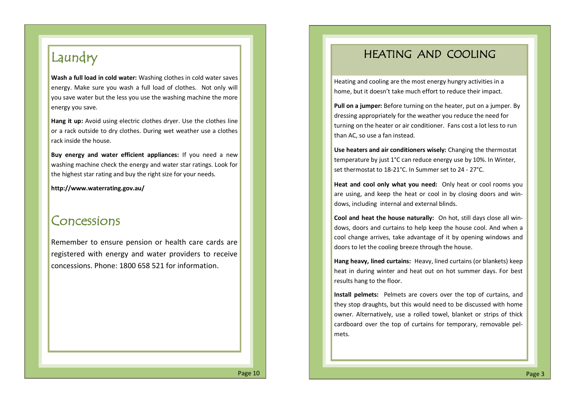## Laundry

**Wash a full load in cold water:** Washing clothes in cold water saves energy. Make sure you wash a full load of clothes. Not only will you save water but the less you use the washing machine the more energy you save.

**Hang it up:** Avoid using electric clothes dryer. Use the clothes line or a rack outside to dry clothes. During wet weather use a clothes rack inside the house.

**Buy energy and water efficient appliances:** If you need a new washing machine check the energy and water star ratings. Look for the highest star rating and buy the right size for your needs.

**http://www.waterrating.gov.au/**

### Concessions

Remember to ensure pension or health care cards are registered with energy and water providers to receive concessions. Phone: 1800 658 521 for information.

### HEATING AND COOLING

Heating and cooling are the most energy hungry activities in a home, but it doesn't take much effort to reduce their impact.

**Pull on a jumper:** Before turning on the heater, put on a jumper. By dressing appropriately for the weather you reduce the need for turning on the heater or air conditioner. Fans cost a lot less to run than AC, so use a fan instead.

**Use heaters and air conditioners wisely:** Changing the thermostat temperature by just 1°C can reduce energy use by 10%. In Winter, set thermostat to 18-21°C. In Summer set to 24 - 27°C.

**Heat and cool only what you need:** Only heat or cool rooms you are using, and keep the heat or cool in by closing doors and windows, including internal and external blinds.

**Cool and heat the house naturally:** On hot, still days close all windows, doors and curtains to help keep the house cool. And when a cool change arrives, take advantage of it by opening windows and doors to let the cooling breeze through the house.

**Hang heavy, lined curtains:** Heavy, lined curtains (or blankets) keep heat in during winter and heat out on hot summer days. For best results hang to the floor.

**Install pelmets:** Pelmets are covers over the top of curtains, and they stop draughts, but this would need to be discussed with home owner. Alternatively, use a rolled towel, blanket or strips of thick cardboard over the top of curtains for temporary, removable pelmets.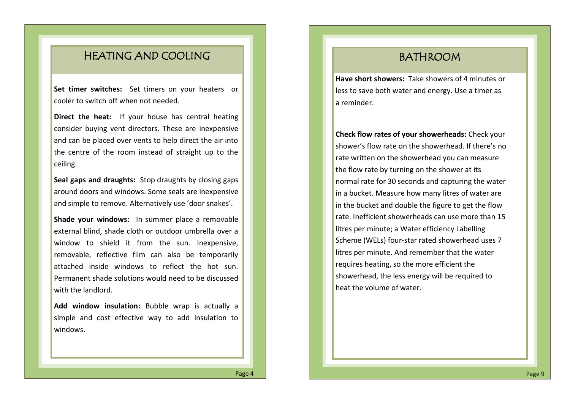### HEATING AND COOLING

**Set timer switches:** Set timers on your heaters or cooler to switch off when not needed.

**Direct the heat:** If your house has central heating consider buying vent directors. These are inexpensive and can be placed over vents to help direct the air into the centre of the room instead of straight up to the ceiling.

**Seal gaps and draughts:** Stop draughts by closing gaps around doors and windows. Some seals are inexpensive and simple to remove. Alternatively use 'door snakes'.

**Shade your windows:** In summer place a removable external blind, shade cloth or outdoor umbrella over a window to shield it from the sun. Inexpensive, removable, reflective film can also be temporarily attached inside windows to reflect the hot sun. Permanent shade solutions would need to be discussed with the landlord.

**Add window insulation:** Bubble wrap is actually a simple and cost effective way to add insulation to windows.

### BATHROOM

**Have short showers:** Take showers of 4 minutes or less to save both water and energy. Use a timer as a reminder.

**Check flow rates of your showerheads:** Check your shower's flow rate on the showerhead. If there's no rate written on the showerhead you can measure the flow rate by turning on the shower at its normal rate for 30 seconds and capturing the water in a bucket. Measure how many litres of water are in the bucket and double the figure to get the flow rate. Inefficient showerheads can use more than 15 litres per minute; a Water efficiency Labelling Scheme (WELs) four-star rated showerhead uses 7 litres per minute. And remember that the water requires heating, so the more efficient the showerhead, the less energy will be required to heat the volume of water.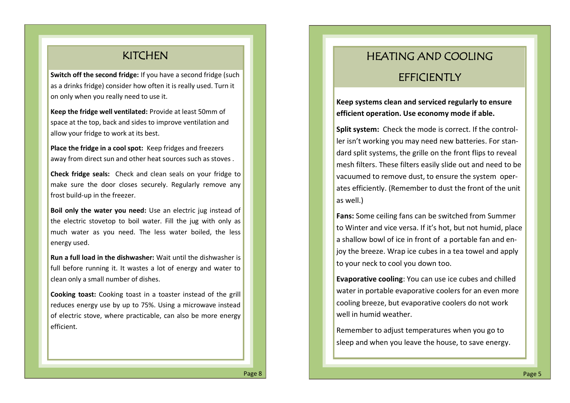#### **KITCHEN**

**Switch off the second fridge:** If you have a second fridge (such as a drinks fridge) consider how often it is really used. Turn it on only when you really need to use it.

**Keep the fridge well ventilated:** Provide at least 50mm of space at the top, back and sides to improve ventilation and allow your fridge to work at its best.

**Place the fridge in a cool spot:** Keep fridges and freezers away from direct sun and other heat sources such as stoves .

**Check fridge seals:** Check and clean seals on your fridge to make sure the door closes securely. Regularly remove any frost build-up in the freezer.

**Boil only the water you need:** Use an electric jug instead of the electric stovetop to boil water. Fill the jug with only as much water as you need. The less water boiled, the less energy used.

**Run a full load in the dishwasher:** Wait until the dishwasher is full before running it. It wastes a lot of energy and water to clean only a small number of dishes.

**Cooking toast:** Cooking toast in a toaster instead of the grill reduces energy use by up to 75%. Using a microwave instead of electric stove, where practicable, can also be more energy efficient.

## HEATING AND COOLING **EFFICIENTLY**

#### **Keep systems clean and serviced regularly to ensure efficient operation. Use economy mode if able.**

**Split system:** Check the mode is correct. If the controller isn't working you may need new batteries. For standard split systems, the grille on the front flips to reveal mesh filters. These filters easily slide out and need to be vacuumed to remove dust, to ensure the system operates efficiently. (Remember to dust the front of the unit as well.)

**Fans:** Some ceiling fans can be switched from Summer to Winter and vice versa. If it's hot, but not humid, place a shallow bowl of ice in front of a portable fan and enjoy the breeze. Wrap ice cubes in a tea towel and apply to your neck to cool you down too.

**Evaporative cooling**: You can use ice cubes and chilled water in portable evaporative coolers for an even more cooling breeze, but evaporative coolers do not work well in humid weather.

Remember to adjust temperatures when you go to sleep and when you leave the house, to save energy.